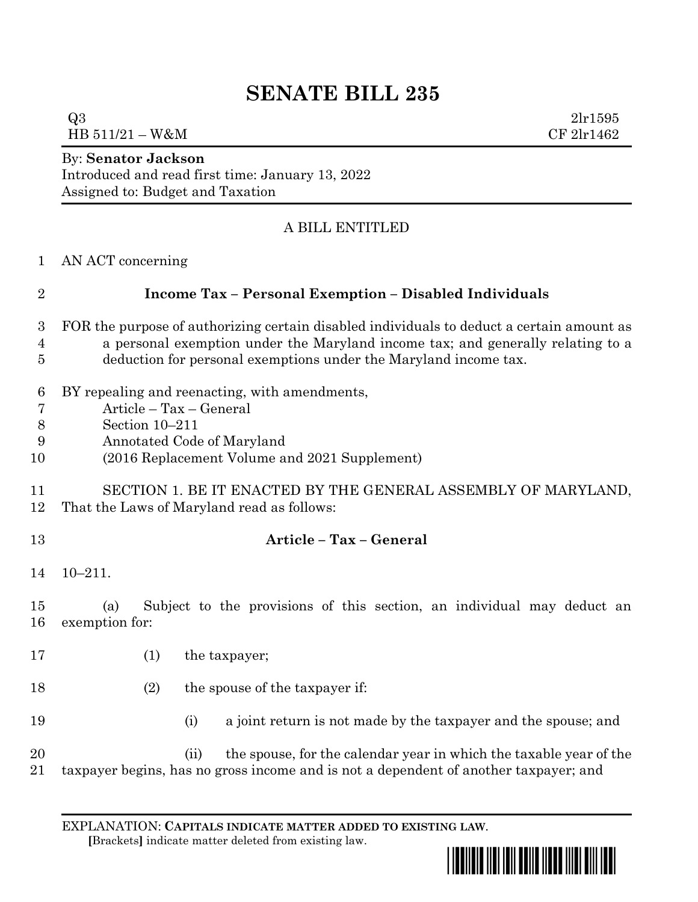## **SENATE BILL 235**

 $Q3 \t2lr1595$  $HB\ 511/21 - W\&M$  CF 2lr1462

By: **Senator Jackson**

Introduced and read first time: January 13, 2022 Assigned to: Budget and Taxation

## A BILL ENTITLED

AN ACT concerning

|  | <b>Income Tax - Personal Exemption - Disabled Individuals</b> |
|--|---------------------------------------------------------------|
|--|---------------------------------------------------------------|

- FOR the purpose of authorizing certain disabled individuals to deduct a certain amount as a personal exemption under the Maryland income tax; and generally relating to a deduction for personal exemptions under the Maryland income tax.
- BY repealing and reenacting, with amendments,
- Article Tax General
- Section 10–211
- Annotated Code of Maryland
- (2016 Replacement Volume and 2021 Supplement)
- SECTION 1. BE IT ENACTED BY THE GENERAL ASSEMBLY OF MARYLAND, That the Laws of Maryland read as follows:
- **Article – Tax – General** 10–211.

 (a) Subject to the provisions of this section, an individual may deduct an exemption for:

- (1) the taxpayer;
- 18 (2) the spouse of the taxpayer if:
- (i) a joint return is not made by the taxpayer and the spouse; and

20 (ii) the spouse, for the calendar year in which the taxable year of the taxpayer begins, has no gross income and is not a dependent of another taxpayer; and

EXPLANATION: **CAPITALS INDICATE MATTER ADDED TO EXISTING LAW**.  **[**Brackets**]** indicate matter deleted from existing law.

<u>\*sb0235\*sb02355\*sb02355</u>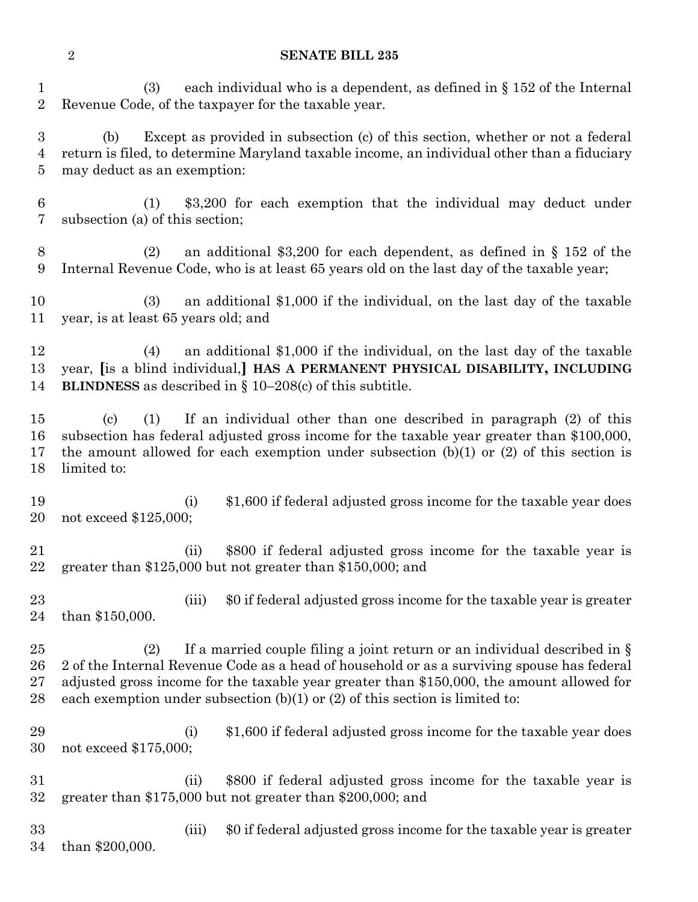## **SENATE BILL 235**

 (3) each individual who is a dependent, as defined in § 152 of the Internal Revenue Code, of the taxpayer for the taxable year.

 (b) Except as provided in subsection (c) of this section, whether or not a federal return is filed, to determine Maryland taxable income, an individual other than a fiduciary may deduct as an exemption:

 (1) \$3,200 for each exemption that the individual may deduct under subsection (a) of this section;

 (2) an additional \$3,200 for each dependent, as defined in § 152 of the Internal Revenue Code, who is at least 65 years old on the last day of the taxable year;

 (3) an additional \$1,000 if the individual, on the last day of the taxable year, is at least 65 years old; and

 (4) an additional \$1,000 if the individual, on the last day of the taxable year, **[**is a blind individual,**] HAS A PERMANENT PHYSICAL DISABILITY, INCLUDING BLINDNESS** as described in § 10–208(c) of this subtitle.

 (c) (1) If an individual other than one described in paragraph (2) of this subsection has federal adjusted gross income for the taxable year greater than \$100,000, the amount allowed for each exemption under subsection (b)(1) or (2) of this section is limited to:

 (i) \$1,600 if federal adjusted gross income for the taxable year does not exceed \$125,000;

 (ii) \$800 if federal adjusted gross income for the taxable year is greater than \$125,000 but not greater than \$150,000; and

 (iii) \$0 if federal adjusted gross income for the taxable year is greater than \$150,000.

25 (2) If a married couple filing a joint return or an individual described in  $\S$  2 of the Internal Revenue Code as a head of household or as a surviving spouse has federal adjusted gross income for the taxable year greater than \$150,000, the amount allowed for 28 each exemption under subsection  $(b)(1)$  or  $(2)$  of this section is limited to:

29 (i) \$1,600 if federal adjusted gross income for the taxable year does not exceed \$175,000;

- (ii) \$800 if federal adjusted gross income for the taxable year is greater than \$175,000 but not greater than \$200,000; and
- (iii) \$0 if federal adjusted gross income for the taxable year is greater than \$200,000.